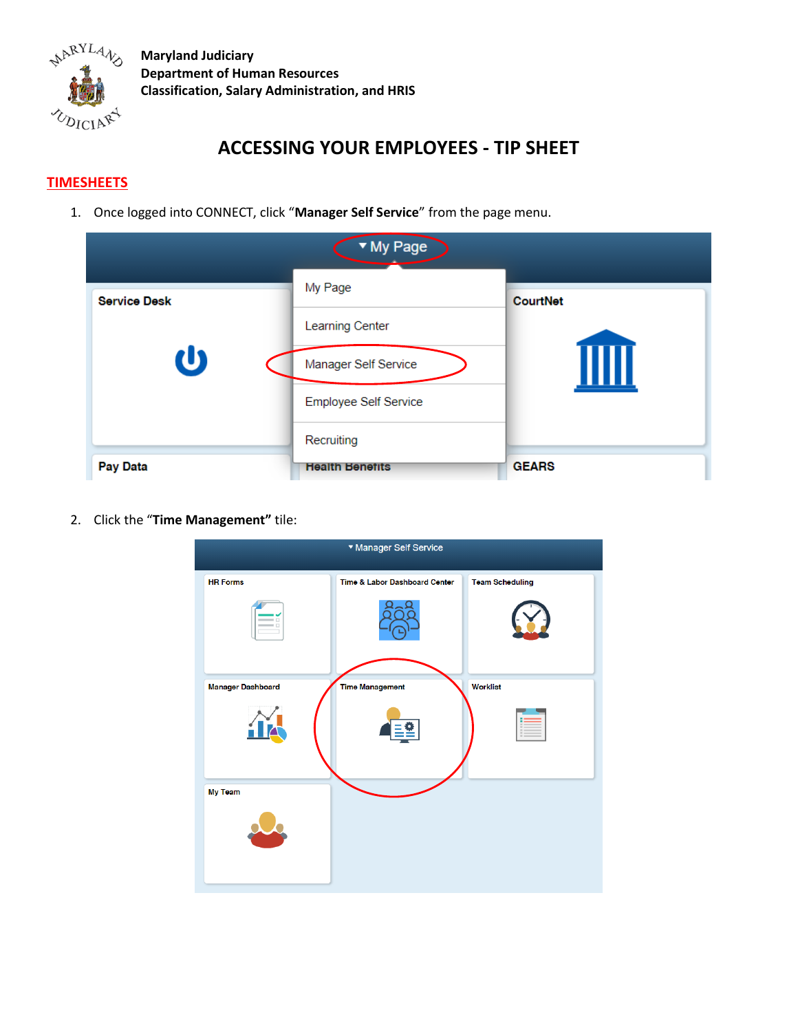

## **ACCESSING YOUR EMPLOYEES - TIP SHEET**

## **TIMESHEETS**

1. Once logged into CONNECT, click "**Manager Self Service**" from the page menu.

| ▼ My Page           |                              |                 |  |
|---------------------|------------------------------|-----------------|--|
| <b>Service Desk</b> | My Page                      | <b>CourtNet</b> |  |
| <u>ປ</u>            | Learning Center              |                 |  |
|                     | Manager Self Service         |                 |  |
|                     | <b>Employee Self Service</b> |                 |  |
|                     | Recruiting                   |                 |  |
| <b>Pay Data</b>     | <b>Health Benefits</b>       | <b>GEARS</b>    |  |

2. Click the "**Time Management"** tile:

| ▼ Manager Self Service   |                               |                        |  |  |
|--------------------------|-------------------------------|------------------------|--|--|
| <b>HR Forms</b>          | Time & Labor Dashboard Center | <b>Team Scheduling</b> |  |  |
|                          |                               |                        |  |  |
|                          |                               |                        |  |  |
| <b>Manager Dashboard</b> | <b>Time Management</b>        | Worklist               |  |  |
|                          |                               |                        |  |  |
| My Team                  |                               |                        |  |  |
|                          |                               |                        |  |  |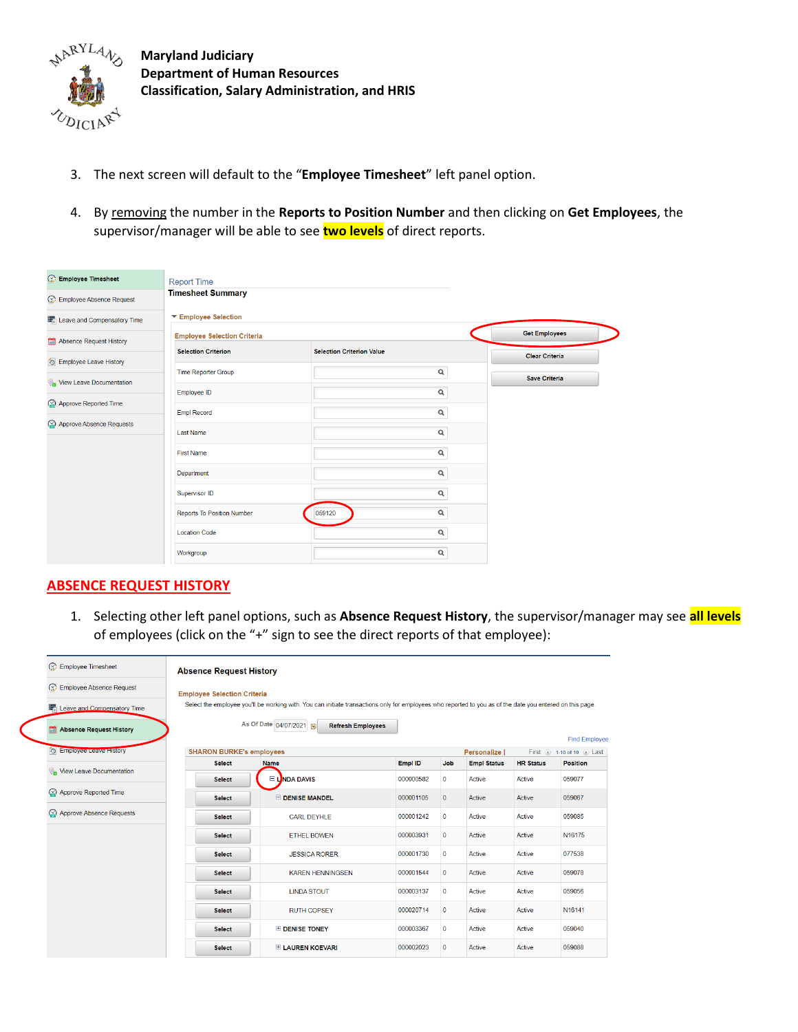

- 3. The next screen will default to the "**Employee Timesheet**" left panel option.
- 4. By removing the number in the **Reports to Position Number** and then clicking on **Get Employees**, the supervisor/manager will be able to see **two levels** of direct reports.

| <b>Employee Timesheet</b>        | <b>Report Time</b>                 |                                  |                       |
|----------------------------------|------------------------------------|----------------------------------|-----------------------|
| Employee Absence Request         | <b>Timesheet Summary</b>           |                                  |                       |
| Leave and Compensatory Time      | ▼ Employee Selection               |                                  |                       |
| <b>Absence Request History</b>   | <b>Employee Selection Criteria</b> |                                  | <b>Get Employees</b>  |
| <b>Co</b> Employee Leave History | <b>Selection Criterion</b>         | <b>Selection Criterion Value</b> | <b>Clear Criteria</b> |
| View Leave Documentation         | <b>Time Reporter Group</b>         | $\alpha$                         | <b>Save Criteria</b>  |
|                                  | Employee ID                        | Q                                |                       |
| Approve Reported Time            | <b>Empl Record</b>                 | $\alpha$                         |                       |
| Approve Absence Requests         | <b>Last Name</b>                   | $\alpha$                         |                       |
|                                  | <b>First Name</b>                  | $\alpha$                         |                       |
|                                  | Department                         | $\alpha$                         |                       |
|                                  | Supervisor ID                      | $\alpha$                         |                       |
|                                  | <b>Reports To Position Number</b>  | Q<br>059120                      |                       |
|                                  | <b>Location Code</b>               | $\alpha$                         |                       |
|                                  | Workgroup                          | Q                                |                       |

## **ABSENCE REQUEST HISTORY**

1. Selecting other left panel options, such as **Absence Request History**, the supervisor/manager may see **all levels** of employees (click on the "+" sign to see the direct reports of that employee):

| $\odot$<br><b>Employee Timesheet</b>    | <b>Absence Request History</b>     |                                                                                                                                                           |           |              |                    |                  |                           |
|-----------------------------------------|------------------------------------|-----------------------------------------------------------------------------------------------------------------------------------------------------------|-----------|--------------|--------------------|------------------|---------------------------|
| o.<br><b>Employee Absence Request</b>   | <b>Employee Selection Criteria</b> |                                                                                                                                                           |           |              |                    |                  |                           |
| Leave and Compensatory Time             |                                    | Select the employee you'll be working with. You can initiate transactions only for employees who reported to you as of the date you entered on this page. |           |              |                    |                  |                           |
| <b>Absence Request History</b>          |                                    | As Of Date 04/07/2021 1<br><b>Refresh Employees</b>                                                                                                       |           |              |                    |                  | <b>Find Employee</b>      |
| <b>CO</b> Employee Leave <b>FISCOV</b>  | <b>SHARON BURKE's employees</b>    |                                                                                                                                                           |           |              | Personalize I      |                  | First 4 1-10 of 10 1 Last |
|                                         | <b>Select</b>                      | <b>Name</b>                                                                                                                                               | Empl ID   | Job          | <b>Empl Status</b> | <b>HR Status</b> | <b>Position</b>           |
| View Leave Documentation                | <b>Select</b>                      | $\Box$ LNDA DAVIS                                                                                                                                         | 000000582 | $\mathbf 0$  | Active             | Active           | 059077                    |
| $\odot$<br><b>Approve Reported Time</b> | <b>Select</b>                      | <b>E DENISE MANDEL</b>                                                                                                                                    | 000001105 | $\mathbf{0}$ | Active             | Active           | 059067                    |
| Approve Absence Requests                | <b>Select</b>                      | <b>CARL DEYHLE</b>                                                                                                                                        | 000001242 | $\mathbf{0}$ | Active             | <b>Active</b>    | 059085                    |
|                                         | <b>Select</b>                      | <b>FTHEI BOWEN</b>                                                                                                                                        | 000003931 | $\mathbf{0}$ | Active             | Active           | N16175                    |
|                                         | <b>Select</b>                      | <b>JESSICA RORER</b>                                                                                                                                      | 000001730 | $\mathbf 0$  | Active             | Active           | 077538                    |
|                                         | <b>Select</b>                      | <b>KAREN HENNINGSEN</b>                                                                                                                                   | 000001544 | $\mathbf{0}$ | Active             | Active           | 059078                    |
|                                         | <b>Select</b>                      | <b>LINDA STOUT</b>                                                                                                                                        | 000003137 | $\mathbf 0$  | Active             | Active           | 059056                    |
|                                         | <b>Select</b>                      | <b>RUTH COPSEY</b>                                                                                                                                        | 000020714 | $\mathbf{0}$ | Active             | <b>Active</b>    | N16141                    |
|                                         | <b>Select</b>                      | <b>E DENISE TONEY</b>                                                                                                                                     | 000003367 | $\mathbf{0}$ | Active             | Active           | 059040                    |
|                                         | <b>Select</b>                      | <b>ELAUREN KOEVARI</b>                                                                                                                                    | 000002023 | $\mathbf{0}$ | Active             | Active           | 059088                    |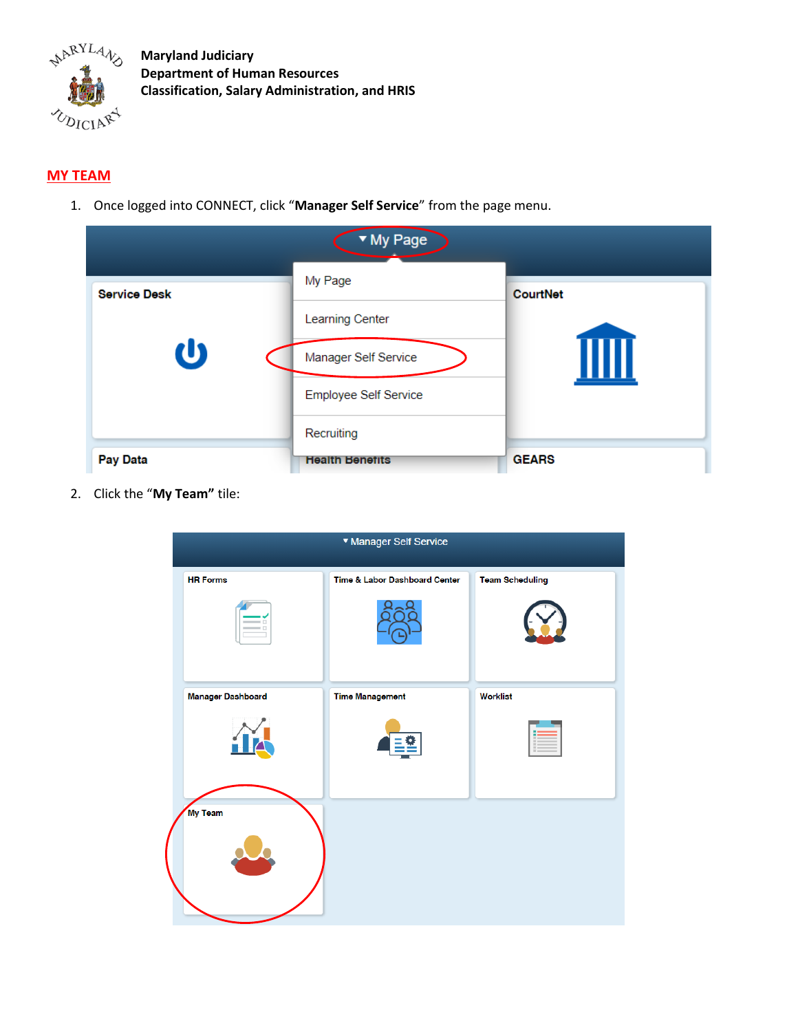

## **MY TEAM**

1. Once logged into CONNECT, click "**Manager Self Service**" from the page menu.

| ▼ My Page           |                        |                 |  |  |
|---------------------|------------------------|-----------------|--|--|
| <b>Service Desk</b> | My Page                | <b>CourtNet</b> |  |  |
|                     | <b>Learning Center</b> |                 |  |  |
| U                   | Manager Self Service   |                 |  |  |
|                     | Employee Self Service  |                 |  |  |
|                     | Recruiting             |                 |  |  |
| <b>Pay Data</b>     | <b>Health Benefits</b> | <b>GEARS</b>    |  |  |

2. Click the "**My Team"** tile:

| ▼ Manager Self Service   |                               |                        |  |  |
|--------------------------|-------------------------------|------------------------|--|--|
| <b>HR Forms</b>          | Time & Labor Dashboard Center | <b>Team Scheduling</b> |  |  |
|                          |                               |                        |  |  |
| <b>Manager Dashboard</b> | <b>Time Management</b>        | <b>Worklist</b>        |  |  |
|                          |                               |                        |  |  |
| <b>My Team</b>           |                               |                        |  |  |